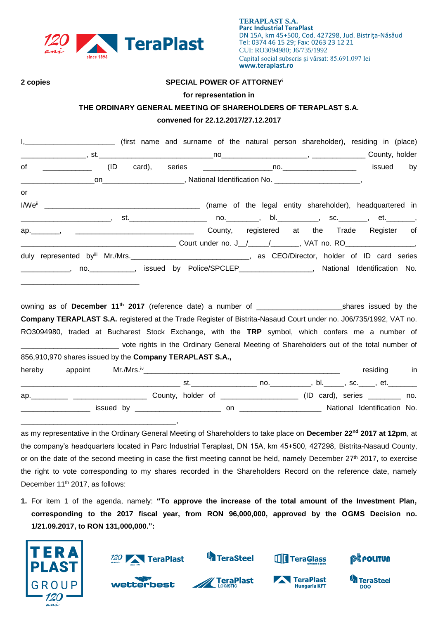

#### **2 copies SPECIAL POWER OF ATTORNEY<sup>i</sup>**

#### **for representation in**

### **THE ORDINARY GENERAL MEETING OF SHAREHOLDERS OF TERAPLAST S.A.**

## **convened for 22.12.2017/27.12.2017**

| I, ____________________________ (first name and surname of the natural person shareholder), residing in (place)             |                                                                                  |  |             |
|-----------------------------------------------------------------------------------------------------------------------------|----------------------------------------------------------------------------------|--|-------------|
|                                                                                                                             |                                                                                  |  |             |
|                                                                                                                             |                                                                                  |  | issued by   |
|                                                                                                                             | _on_______________________, National Identification No. _______________________, |  |             |
| or                                                                                                                          |                                                                                  |  |             |
|                                                                                                                             |                                                                                  |  |             |
|                                                                                                                             |                                                                                  |  |             |
| ap. Manuscript Aregister of County, registered at the Trade Register of                                                     |                                                                                  |  |             |
|                                                                                                                             |                                                                                  |  |             |
|                                                                                                                             |                                                                                  |  |             |
| _____________, no. ____________, issued by Police/SPCLEP__________________, National Identification No.                     |                                                                                  |  |             |
|                                                                                                                             |                                                                                  |  |             |
| owning as of December 11 <sup>th</sup> 2017 (reference date) a number of ______________________________shares issued by the |                                                                                  |  |             |
| Company TERAPLAST S.A. registered at the Trade Register of Bistrita-Nasaud Court under no. J06/735/1992, VAT no.            |                                                                                  |  |             |
| RO3094980, traded at Bucharest Stock Exchange, with the TRP symbol, which confers me a number of                            |                                                                                  |  |             |
| _______________________________ vote rights in the Ordinary General Meeting of Shareholders out of the total number of      |                                                                                  |  |             |
| 856,910,970 shares issued by the Company TERAPLAST S.A.,                                                                    |                                                                                  |  |             |
|                                                                                                                             |                                                                                  |  | residing in |

|     |                                  | no. | bl. | , sc. , et.                 |     |
|-----|----------------------------------|-----|-----|-----------------------------|-----|
| ap. | County, holder of ______________ |     |     |                             | no. |
|     |                                  | on  |     | National Identification No. |     |
|     |                                  |     |     |                             |     |

as my representative in the Ordinary General Meeting of Shareholders to take place on **December 22 nd 2017 at 12pm**, at the company's headquarters located in Parc Industrial Teraplast, DN 15A, km 45+500, 427298, Bistrita-Nasaud County, or on the date of the second meeting in case the first meeting cannot be held, namely December  $27<sup>th</sup>$  2017, to exercise the right to vote corresponding to my shares recorded in the Shareholders Record on the reference date, namely December 11<sup>th</sup> 2017, as follows:

**1.** For item 1 of the agenda, namely: **"To approve the increase of the total amount of the Investment Plan, corresponding to the 2017 fiscal year, from RON 96,000,000, approved by the OGMS Decision no. 1/21.09.2017, to RON 131,000,000.":**



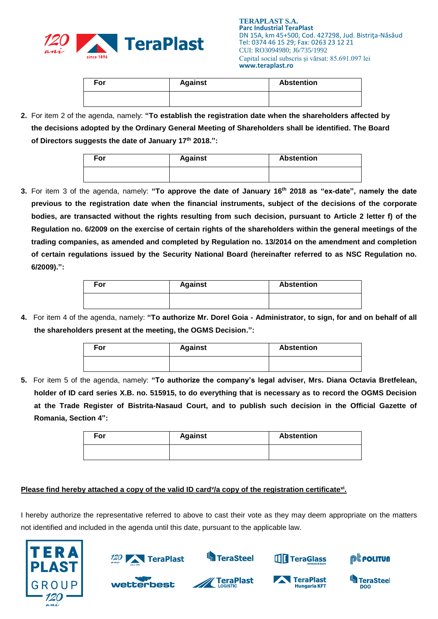

| For | <b>Against</b> | <b>Abstention</b> |
|-----|----------------|-------------------|
|     |                |                   |

**2.** For item 2 of the agenda, namely: **"To establish the registration date when the shareholders affected by the decisions adopted by the Ordinary General Meeting of Shareholders shall be identified. The Board of Directors suggests the date of January 17 th 2018.":**

| For | <b>Against</b> | <b>Abstention</b> |  |  |
|-----|----------------|-------------------|--|--|
|     |                |                   |  |  |

**3.** For item 3 of the agenda, namely: **"To approve the date of January 16 th 2018 as "ex-date", namely the date previous to the registration date when the financial instruments, subject of the decisions of the corporate bodies, are transacted without the rights resulting from such decision, pursuant to Article 2 letter f) of the Regulation no. 6/2009 on the exercise of certain rights of the shareholders within the general meetings of the trading companies, as amended and completed by Regulation no. 13/2014 on the amendment and completion of certain regulations issued by the Security National Board (hereinafter referred to as NSC Regulation no. 6/2009).":**

| For | <b>Against</b> | <b>Abstention</b> |  |  |
|-----|----------------|-------------------|--|--|
|     |                |                   |  |  |

**4.** For item 4 of the agenda, namely: **"To authorize Mr. Dorel Goia - Administrator, to sign, for and on behalf of all the shareholders present at the meeting, the OGMS Decision.":**

| For | <b>Against</b> | <b>Abstention</b> |
|-----|----------------|-------------------|
|     |                |                   |

**5.** For item 5 of the agenda, namely: **"To authorize the company's legal adviser, Mrs. Diana Octavia Bretfelean, holder of ID card series X.B. no. 515915, to do everything that is necessary as to record the OGMS Decision at the Trade Register of Bistrita-Nasaud Court, and to publish such decision in the Official Gazette of Romania, Section 4":**

| For | <b>Against</b> | <b>Abstention</b> |
|-----|----------------|-------------------|
|     |                |                   |

# **Please find hereby attached a copy of the valid ID card<sup>y</sup>/a copy of the registration certificate<sup>vi</sup>.**

I hereby authorize the representative referred to above to cast their vote as they may deem appropriate on the matters not identified and included in the agenda until this date, pursuant to the applicable law.





wetterbest

**S**TeraSteel